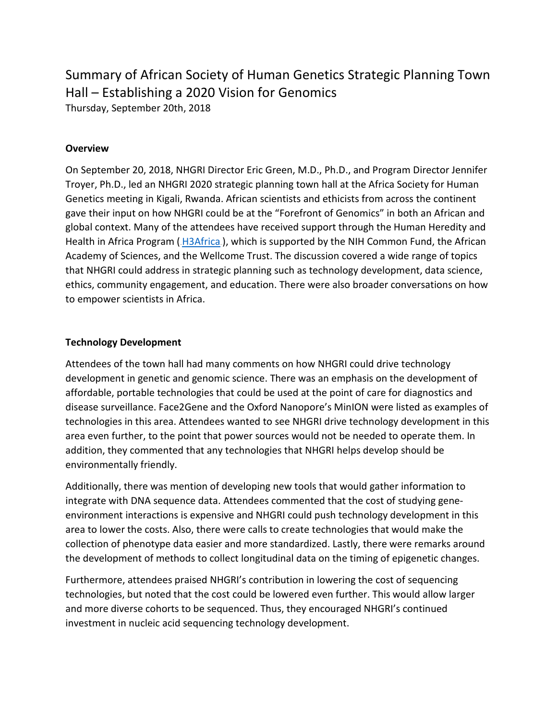# Summary of African Society of Human Genetics Strategic Planning Town Hall – Establishing a 2020 Vision for Genomics

Thursday, September 20th, 2018

# **Overview**

On September 20, 2018, NHGRI Director Eric Green, M.D., Ph.D., and Program Director Jennifer Troyer, Ph.D., led an NHGRI 2020 strategic planning town hall at the Africa Society for Human Genetics meeting in Kigali, Rwanda. African scientists and ethicists from across the continent gave their input on how NHGRI could be at the "Forefront of Genomics" in both an African and global context. Many of the attendees have received support through the Human Heredity and Health in Africa Program ( $H3Africa$ ), which is supported by the NIH Common Fund, the African Academy of Sciences, and the Wellcome Trust. The discussion covered a wide range of topics that NHGRI could address in strategic planning such as technology development, data science, ethics, community engagement, and education. There were also broader conversations on how to empower scientists in Africa.

## **Technology Development**

Attendees of the town hall had many comments on how NHGRI could drive technology development in genetic and genomic science. There was an emphasis on the development of affordable, portable technologies that could be used at the point of care for diagnostics and disease surveillance. Face2Gene and the Oxford Nanopore's MinION were listed as examples of technologies in this area. Attendees wanted to see NHGRI drive technology development in this area even further, to the point that power sources would not be needed to operate them. In addition, they commented that any technologies that NHGRI helps develop should be environmentally friendly.

Additionally, there was mention of developing new tools that would gather information to integrate with DNA sequence data. Attendees commented that the cost of studying geneenvironment interactions is expensive and NHGRI could push technology development in this area to lower the costs. Also, there were calls to create technologies that would make the collection of phenotype data easier and more standardized. Lastly, there were remarks around the development of methods to collect longitudinal data on the timing of epigenetic changes.

Furthermore, attendees praised NHGRI's contribution in lowering the cost of sequencing technologies, but noted that the cost could be lowered even further. This would allow larger and more diverse cohorts to be sequenced. Thus, they encouraged NHGRI's continued investment in nucleic acid sequencing technology development.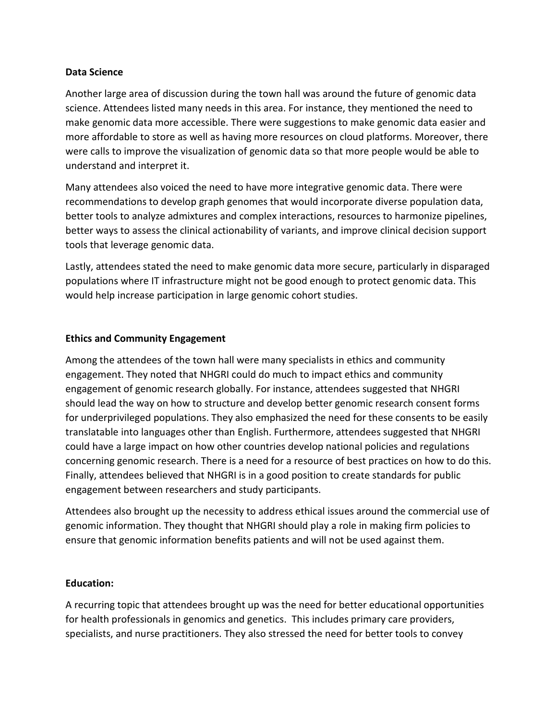#### **Data Science**

Another large area of discussion during the town hall was around the future of genomic data science. Attendees listed many needs in this area. For instance, they mentioned the need to make genomic data more accessible. There were suggestions to make genomic data easier and more affordable to store as well as having more resources on cloud platforms. Moreover, there were calls to improve the visualization of genomic data so that more people would be able to understand and interpret it.

Many attendees also voiced the need to have more integrative genomic data. There were recommendations to develop graph genomes that would incorporate diverse population data, better tools to analyze admixtures and complex interactions, resources to harmonize pipelines, better ways to assess the clinical actionability of variants, and improve clinical decision support tools that leverage genomic data.

Lastly, attendees stated the need to make genomic data more secure, particularly in disparaged populations where IT infrastructure might not be good enough to protect genomic data. This would help increase participation in large genomic cohort studies.

## **Ethics and Community Engagement**

Among the attendees of the town hall were many specialists in ethics and community engagement. They noted that NHGRI could do much to impact ethics and community engagement of genomic research globally. For instance, attendees suggested that NHGRI should lead the way on how to structure and develop better genomic research consent forms for underprivileged populations. They also emphasized the need for these consents to be easily translatable into languages other than English. Furthermore, attendees suggested that NHGRI could have a large impact on how other countries develop national policies and regulations concerning genomic research. There is a need for a resource of best practices on how to do this. Finally, attendees believed that NHGRI is in a good position to create standards for public engagement between researchers and study participants.

Attendees also brought up the necessity to address ethical issues around the commercial use of genomic information. They thought that NHGRI should play a role in making firm policies to ensure that genomic information benefits patients and will not be used against them.

## **Education:**

A recurring topic that attendees brought up was the need for better educational opportunities for health professionals in genomics and genetics. This includes primary care providers, specialists, and nurse practitioners. They also stressed the need for better tools to convey